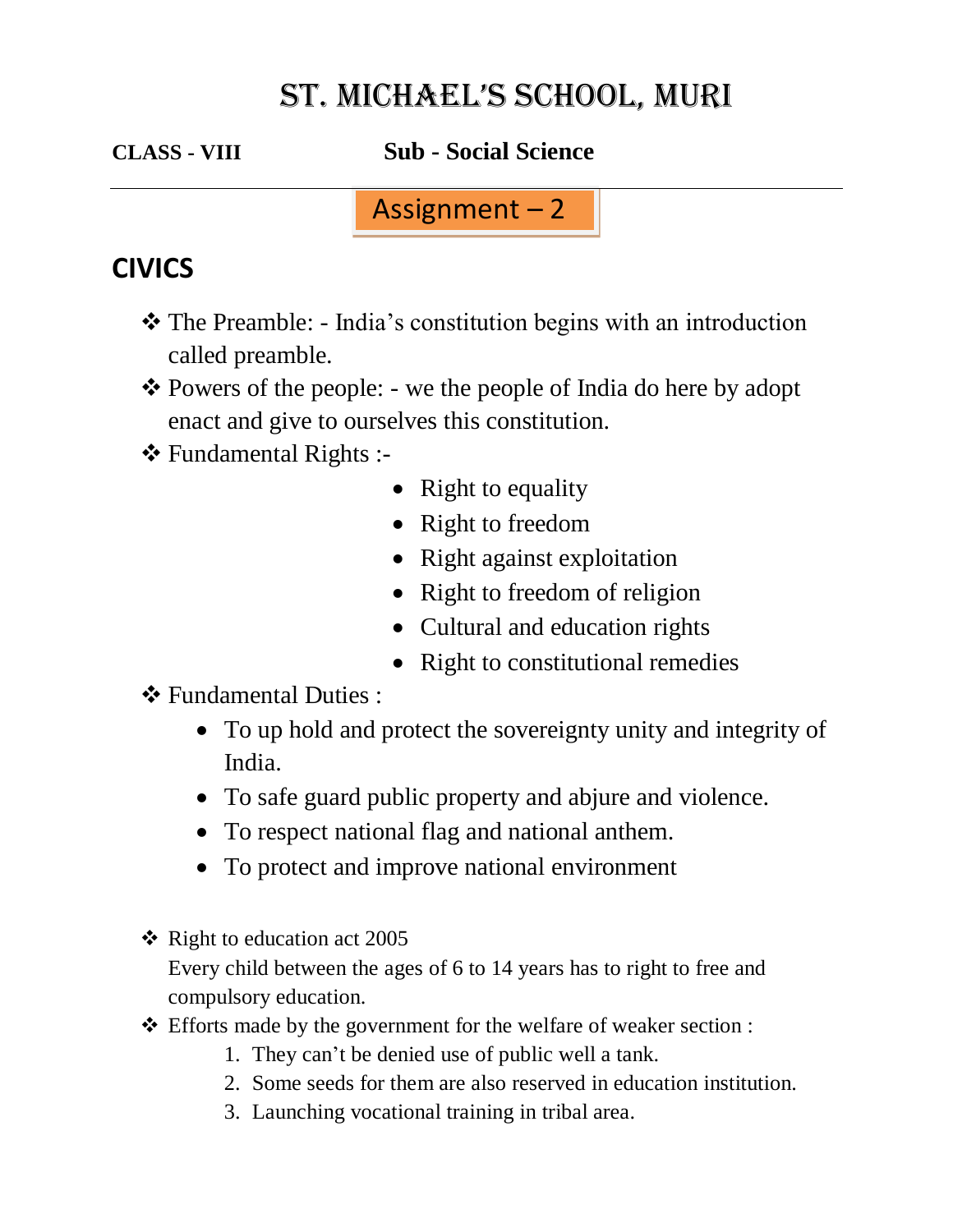# ST. MICHAEL'S SCHOOL, MURI

**CLASS - VIII Sub - Social Science**

Assignment – 2

### **CIVICS**

- \* The Preamble: India's constitution begins with an introduction called preamble.
- \* Powers of the people: we the people of India do here by adopt enact and give to ourselves this constitution.
- Fundamental Rights :-
	- Right to equality
	- Right to freedom
	- Right against exploitation
	- Right to freedom of religion
	- Cultural and education rights
	- Right to constitutional remedies
- Fundamental Duties :
	- To up hold and protect the sovereignty unity and integrity of India.
	- To safe guard public property and abjure and violence.
	- To respect national flag and national anthem.
	- To protect and improve national environment
- $\triangleleft$  Right to education act 2005 Every child between the ages of 6 to 14 years has to right to free and compulsory education.
- Efforts made by the government for the welfare of weaker section :
	- 1. They can't be denied use of public well a tank.
	- 2. Some seeds for them are also reserved in education institution.
	- 3. Launching vocational training in tribal area.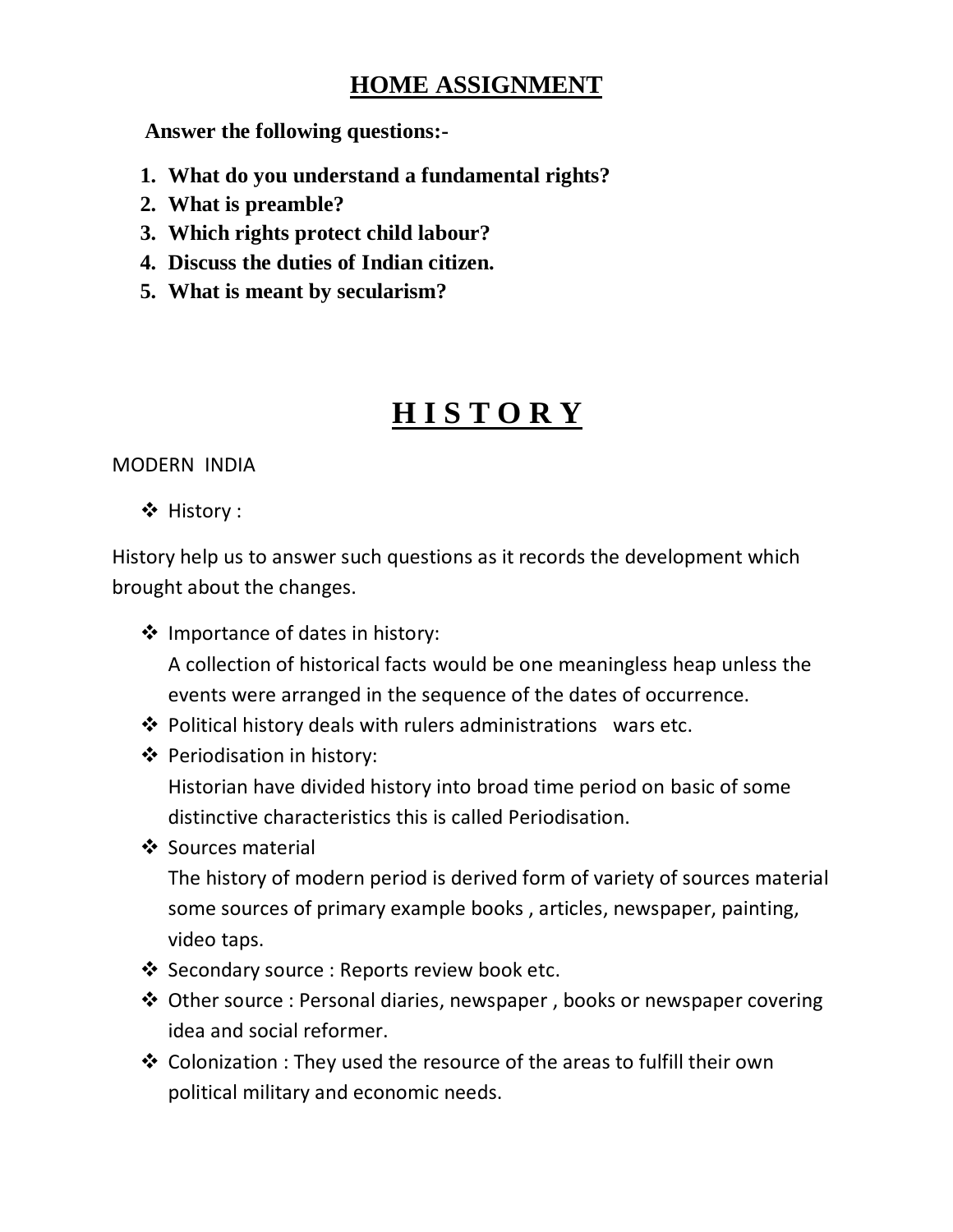### **HOME ASSIGNMENT**

 **Answer the following questions:-**

- **1. What do you understand a fundamental rights?**
- **2. What is preamble?**
- **3. Which rights protect child labour?**
- **4. Discuss the duties of Indian citizen.**
- **5. What is meant by secularism?**

# **H I S T O R Y**

MODERN INDIA

❖ History :

History help us to answer such questions as it records the development which brought about the changes.

- ❖ Importance of dates in history: A collection of historical facts would be one meaningless heap unless the events were arranged in the sequence of the dates of occurrence.
- $\triangle$  Political history deals with rulers administrations wars etc.
- Periodisation in history:

Historian have divided history into broad time period on basic of some distinctive characteristics this is called Periodisation.

❖ Sources material

The history of modern period is derived form of variety of sources material some sources of primary example books , articles, newspaper, painting, video taps.

- ❖ Secondary source : Reports review book etc.
- Other source : Personal diaries, newspaper , books or newspaper covering idea and social reformer.
- $\cdot$  Colonization : They used the resource of the areas to fulfill their own political military and economic needs.